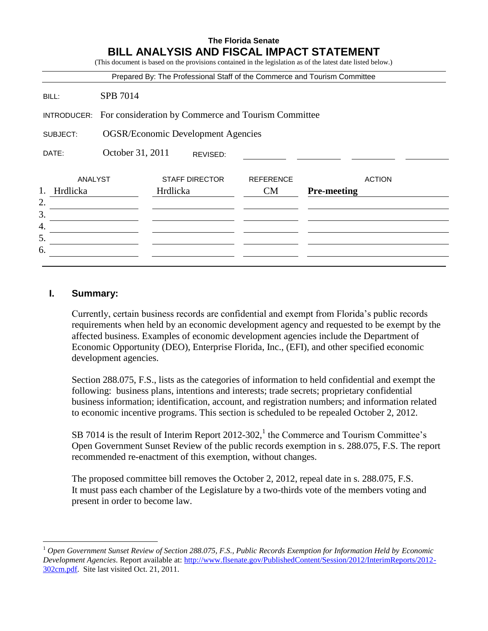| BILL ANALYSIS AND FISCAL IMPACT STATEMENT<br>(This document is based on the provisions contained in the legislation as of the latest date listed below.)<br>Prepared By: The Professional Staff of the Commerce and Tourism Committee |                  |                                                     |                               |                    |               |  |
|---------------------------------------------------------------------------------------------------------------------------------------------------------------------------------------------------------------------------------------|------------------|-----------------------------------------------------|-------------------------------|--------------------|---------------|--|
| BILL:                                                                                                                                                                                                                                 | SPB 7014         |                                                     |                               |                    |               |  |
| INTRODUCER:                                                                                                                                                                                                                           |                  | For consideration by Commerce and Tourism Committee |                               |                    |               |  |
| SUBJECT:                                                                                                                                                                                                                              |                  | <b>OGSR/Economic Development Agencies</b>           |                               |                    |               |  |
| DATE:                                                                                                                                                                                                                                 | October 31, 2011 | REVISED:                                            |                               |                    |               |  |
| ANALYST<br>1.<br>Hrdlicka                                                                                                                                                                                                             |                  | <b>STAFF DIRECTOR</b><br>Hrdlicka                   | <b>REFERENCE</b><br><b>CM</b> | <b>Pre-meeting</b> | <b>ACTION</b> |  |
|                                                                                                                                                                                                                                       |                  |                                                     |                               |                    |               |  |
|                                                                                                                                                                                                                                       |                  |                                                     |                               |                    |               |  |
|                                                                                                                                                                                                                                       |                  |                                                     |                               |                    |               |  |
|                                                                                                                                                                                                                                       |                  |                                                     |                               |                    |               |  |
| 5.<br>6.                                                                                                                                                                                                                              |                  |                                                     |                               |                    |               |  |

## **I. Summary:**

 $\overline{a}$ 

Currently, certain business records are confidential and exempt from Florida's public records requirements when held by an economic development agency and requested to be exempt by the affected business. Examples of economic development agencies include the Department of Economic Opportunity (DEO), Enterprise Florida, Inc., (EFI), and other specified economic development agencies.

Section 288.075, F.S., lists as the categories of information to held confidential and exempt the following: business plans, intentions and interests; trade secrets; proprietary confidential business information; identification, account, and registration numbers; and information related to economic incentive programs. This section is scheduled to be repealed October 2, 2012.

SB 7014 is the result of Interim Report 2012-302,<sup>1</sup> the Commerce and Tourism Committee's Open Government Sunset Review of the public records exemption in s. 288.075, F.S. The report recommended re-enactment of this exemption, without changes.

The proposed committee bill removes the October 2, 2012, repeal date in s. 288.075, F.S. It must pass each chamber of the Legislature by a two-thirds vote of the members voting and present in order to become law.

<sup>1</sup> *Open Government Sunset Review of Section 288.075, F.S., Public Records Exemption for Information Held by Economic Development Agencies*. Report available at: [http://www.flsenate.gov/PublishedContent/Session/2012/InterimReports/2012-](http://www.flsenate.gov/PublishedContent/Session/2012/InterimReports/2012-302cm.pdf) [302cm.pdf.](http://www.flsenate.gov/PublishedContent/Session/2012/InterimReports/2012-302cm.pdf) Site last visited Oct. 21, 2011.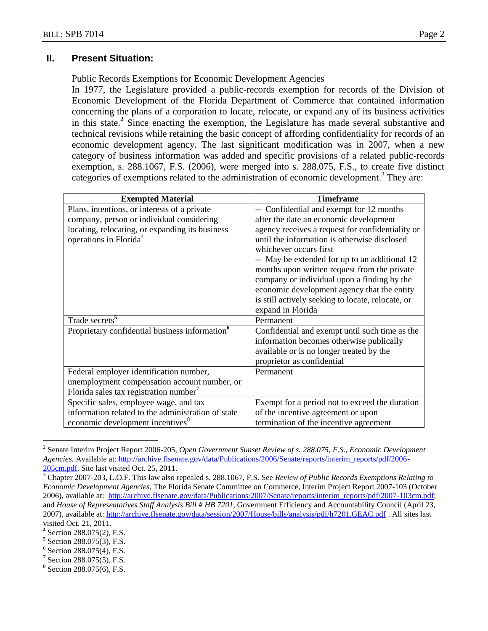## **II. Present Situation:**

### Public Records Exemptions for Economic Development Agencies

In 1977, the Legislature provided a public-records exemption for records of the Division of Economic Development of the Florida Department of Commerce that contained information concerning the plans of a corporation to locate, relocate, or expand any of its business activities in this state.**<sup>2</sup>** Since enacting the exemption, the Legislature has made several substantive and technical revisions while retaining the basic concept of affording confidentiality for records of an economic development agency. The last significant modification was in 2007, when a new category of business information was added and specific provisions of a related public-records exemption, s. 288.1067, F.S. (2006), were merged into s. 288.075, F.S., to create five distinct categories of exemptions related to the administration of economic development.<sup>3</sup> They are:

| <b>Exempted Material</b>                                   | <b>Timeframe</b>                                  |  |  |
|------------------------------------------------------------|---------------------------------------------------|--|--|
| Plans, intentions, or interests of a private               | -- Confidential and exempt for 12 months          |  |  |
| company, person or individual considering                  | after the date an economic development            |  |  |
| locating, relocating, or expanding its business            | agency receives a request for confidentiality or  |  |  |
| operations in Florida <sup>4</sup>                         | until the information is otherwise disclosed      |  |  |
|                                                            | whichever occurs first                            |  |  |
|                                                            | -- May be extended for up to an additional 12     |  |  |
|                                                            | months upon written request from the private      |  |  |
|                                                            | company or individual upon a finding by the       |  |  |
|                                                            | economic development agency that the entity       |  |  |
|                                                            | is still actively seeking to locate, relocate, or |  |  |
|                                                            | expand in Florida                                 |  |  |
| Trade secrets <sup>5</sup>                                 | Permanent                                         |  |  |
| Proprietary confidential business information <sup>6</sup> | Confidential and exempt until such time as the    |  |  |
|                                                            | information becomes otherwise publically          |  |  |
|                                                            | available or is no longer treated by the          |  |  |
|                                                            | proprietor as confidential                        |  |  |
| Federal employer identification number,                    | Permanent                                         |  |  |
| unemployment compensation account number, or               |                                                   |  |  |
| Florida sales tax registration number <sup>7</sup>         |                                                   |  |  |
| Specific sales, employee wage, and tax                     | Exempt for a period not to exceed the duration    |  |  |
| information related to the administration of state         | of the incentive agreement or upon                |  |  |
| economic development incentives <sup>8</sup>               | termination of the incentive agreement            |  |  |

<sup>2</sup> Senate Interim Project Report 2006-205, *Open Government Sunset Review of s. 288.075, F.S., Economic Development Agencies.* Available at: [http://archive.flsenate.gov/data/Publications/2006/Senate/reports/interim\\_reports/pdf/2006-](http://archive.flsenate.gov/data/Publications/2006/Senate/reports/interim_reports/pdf/2006-205cm.pdf) [205cm.pdf.](http://archive.flsenate.gov/data/Publications/2006/Senate/reports/interim_reports/pdf/2006-205cm.pdf) Site last visited Oct. 25, 2011.

 $\overline{a}$ 

<sup>3</sup> Chapter 2007-203, L.O.F. This law also repealed s. 288.1067, F.S. See *Review of Public Records Exemptions Relating to Economic Development Agencies*, The Florida Senate Committee on Commerce, Interim Project Report 2007-103 (October 2006), available at: [http://archive.flsenate.gov/data/Publications/2007/Senate/reports/interim\\_reports/pdf/2007-103cm.pdf;](http://archive.flsenate.gov/data/Publications/2007/Senate/reports/interim_reports/pdf/2007-103cm.pdf) and *House of Representatives Staff Analysis Bill # HB 7201*, Government Efficiency and Accountability Council (April 23, 2007), available at: <http://archive.flsenate.gov/data/session/2007/House/bills/analysis/pdf/h7201.GEAC.pdf> . All sites last visited Oct. 21, 2011.

**<sup>4</sup>** Section 288.075(2), F.S.

<sup>5</sup> Section 288.075(3), F.S.

<sup>&</sup>lt;sup>6</sup> Section 288.075(4), F.S.

<sup>7</sup> Section 288.075(5), F.S.

 $8$  Section 288.075(6), F.S.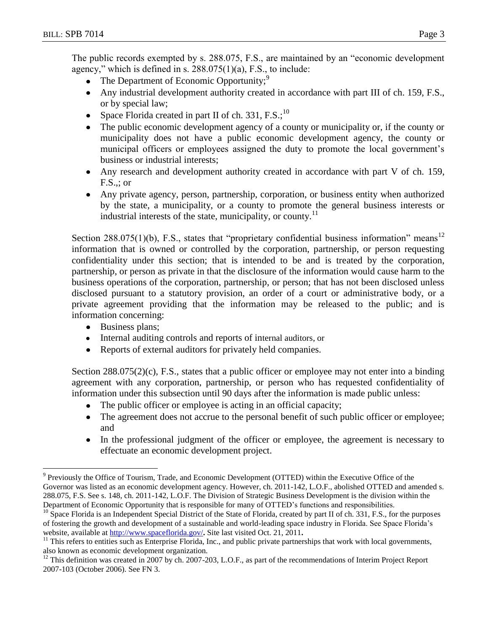The public records exempted by s. 288.075, F.S., are maintained by an "economic development agency," which is defined in s. 288.075(1)(a), F.S., to include:

- The Department of Economic Opportunity;<sup>9</sup>  $\bullet$
- Any industrial development authority created in accordance with part III of ch. 159, F.S., or by special law;
- Space Florida created in part II of ch. 331,  $F.S.^{10}$
- The public economic development agency of a county or municipality or, if the county or municipality does not have a public economic development agency, the county or municipal officers or employees assigned the duty to promote the local government's business or industrial interests;
- Any research and development authority created in accordance with part V of ch. 159, F.S.,; or
- Any private agency, person, partnership, corporation, or business entity when authorized by the state, a municipality, or a county to promote the general business interests or industrial interests of the state, municipality, or county.<sup>11</sup>

Section 288.075(1)(b), F.S., states that "proprietary confidential business information" means<sup>12</sup> information that is owned or controlled by the corporation, partnership, or person requesting confidentiality under this section; that is intended to be and is treated by the corporation, partnership, or person as private in that the disclosure of the information would cause harm to the business operations of the corporation, partnership, or person; that has not been disclosed unless disclosed pursuant to a statutory provision, an order of a court or administrative body, or a private agreement providing that the information may be released to the public; and is information concerning:

• Business plans;

 $\overline{a}$ 

- Internal auditing controls and reports of internal auditors, or
- Reports of external auditors for privately held companies.

Section  $288.075(2)(c)$ , F.S., states that a public officer or employee may not enter into a binding agreement with any corporation, partnership, or person who has requested confidentiality of information under this subsection until 90 days after the information is made public unless:

- The public officer or employee is acting in an official capacity;
- The agreement does not accrue to the personal benefit of such public officer or employee; and
- In the professional judgment of the officer or employee, the agreement is necessary to effectuate an economic development project.

<sup>&</sup>lt;sup>9</sup> Previously the Office of Tourism, Trade, and Economic Development (OTTED) within the Executive Office of the Governor was listed as an economic development agency. However, ch. 2011-142, L.O.F., abolished OTTED and amended s. 288.075, F.S. See s. 148, ch. 2011-142, L.O.F. The Division of Strategic Business Development is the division within the Department of Economic Opportunity that is responsible for many of OTTED's functions and responsibilities.

 $^{10}$  Space Florida is an Independent Special District of the State of Florida, created by part II of ch. 331, F.S., for the purposes of fostering the growth and development of a sustainable and world-leading space industry in Florida. See Space Florida's website, available at <http://www.spaceflorida.gov/>**.** Site last visited Oct. 21, 2011**.**

 $11$  This refers to entities such as Enterprise Florida, Inc., and public private partnerships that work with local governments, also known as economic development organization.

<sup>&</sup>lt;sup>12</sup> This definition was created in 2007 by ch. 2007-203, L.O.F., as part of the recommendations of Interim Project Report 2007-103 (October 2006). See FN 3.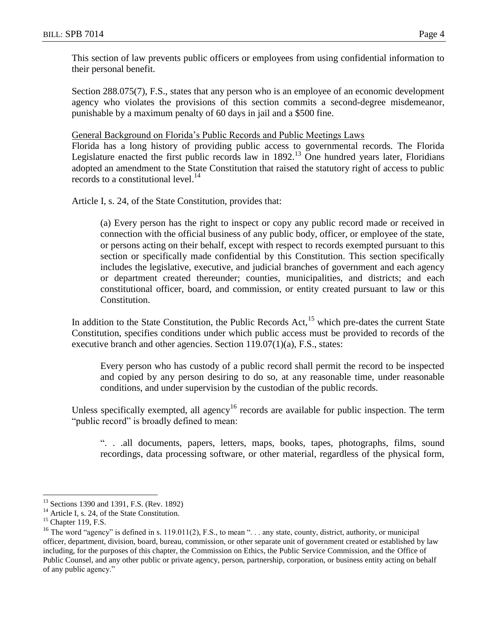This section of law prevents public officers or employees from using confidential information to their personal benefit.

Section 288.075(7), F.S., states that any person who is an employee of an economic development agency who violates the provisions of this section commits a second-degree misdemeanor, punishable by a maximum penalty of 60 days in jail and a \$500 fine.

General Background on Florida's Public Records and Public Meetings Laws

Florida has a long history of providing public access to governmental records. The Florida Legislature enacted the first public records law in 1892.<sup>13</sup> One hundred years later, Floridians adopted an amendment to the State Constitution that raised the statutory right of access to public records to a constitutional level. $^{14}$ 

Article I, s. 24, of the State Constitution, provides that:

(a) Every person has the right to inspect or copy any public record made or received in connection with the official business of any public body, officer, or employee of the state, or persons acting on their behalf, except with respect to records exempted pursuant to this section or specifically made confidential by this Constitution. This section specifically includes the legislative, executive, and judicial branches of government and each agency or department created thereunder; counties, municipalities, and districts; and each constitutional officer, board, and commission, or entity created pursuant to law or this Constitution.

In addition to the State Constitution, the Public Records Act,  $15$  which pre-dates the current State Constitution, specifies conditions under which public access must be provided to records of the executive branch and other agencies. Section 119.07(1)(a), F.S., states:

Every person who has custody of a public record shall permit the record to be inspected and copied by any person desiring to do so, at any reasonable time, under reasonable conditions, and under supervision by the custodian of the public records.

Unless specifically exempted, all agency<sup>16</sup> records are available for public inspection. The term "public record" is broadly defined to mean:

". . .all documents, papers, letters, maps, books, tapes, photographs, films, sound recordings, data processing software, or other material, regardless of the physical form,

 $\overline{a}$ 

<sup>&</sup>lt;sup>13</sup> Sections 1390 and 1391, F.S. (Rev. 1892)

<sup>&</sup>lt;sup>14</sup> Article I, s. 24, of the State Constitution.

<sup>&</sup>lt;sup>15</sup> Chapter 119, F.S.

<sup>&</sup>lt;sup>16</sup> The word "agency" is defined in s. 119.011(2), F.S., to mean "... any state, county, district, authority, or municipal officer, department, division, board, bureau, commission, or other separate unit of government created or established by law including, for the purposes of this chapter, the Commission on Ethics, the Public Service Commission, and the Office of Public Counsel, and any other public or private agency, person, partnership, corporation, or business entity acting on behalf of any public agency."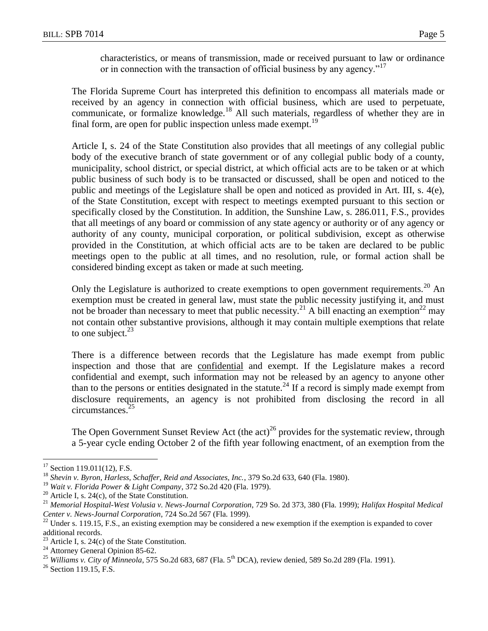characteristics, or means of transmission, made or received pursuant to law or ordinance or in connection with the transaction of official business by any agency."<sup>17</sup>

The Florida Supreme Court has interpreted this definition to encompass all materials made or received by an agency in connection with official business, which are used to perpetuate, communicate, or formalize knowledge.<sup>18</sup> All such materials, regardless of whether they are in final form, are open for public inspection unless made exempt.<sup>19</sup>

Article I, s. 24 of the State Constitution also provides that all meetings of any collegial public body of the executive branch of state government or of any collegial public body of a county, municipality, school district, or special district, at which official acts are to be taken or at which public business of such body is to be transacted or discussed, shall be open and noticed to the public and meetings of the Legislature shall be open and noticed as provided in Art. III, s. 4(e), of the State Constitution, except with respect to meetings exempted pursuant to this section or specifically closed by the Constitution. In addition, the Sunshine Law, s. 286.011, F.S., provides that all meetings of any board or commission of any state agency or authority or of any agency or authority of any county, municipal corporation, or political subdivision, except as otherwise provided in the Constitution, at which official acts are to be taken are declared to be public meetings open to the public at all times, and no resolution, rule, or formal action shall be considered binding except as taken or made at such meeting.

Only the Legislature is authorized to create exemptions to open government requirements.<sup>20</sup> An exemption must be created in general law, must state the public necessity justifying it, and must not be broader than necessary to meet that public necessity.<sup>21</sup> A bill enacting an exemption<sup>22</sup> may not contain other substantive provisions, although it may contain multiple exemptions that relate to one subject. $^{23}$ 

There is a difference between records that the Legislature has made exempt from public inspection and those that are confidential and exempt. If the Legislature makes a record confidential and exempt, such information may not be released by an agency to anyone other than to the persons or entities designated in the statute.<sup>24</sup> If a record is simply made exempt from disclosure requirements, an agency is not prohibited from disclosing the record in all circumstances.<sup>25</sup>

The Open Government Sunset Review Act (the act)<sup>26</sup> provides for the systematic review, through a 5-year cycle ending October 2 of the fifth year following enactment, of an exemption from the

 $\overline{a}$ 

 $17$  Section 119.011(12), F.S.

<sup>18</sup> *Shevin v. Byron, Harless, Schaffer, Reid and Associates, Inc.*, 379 So.2d 633, 640 (Fla. 1980).

<sup>19</sup> *Wait v. Florida Power & Light Company*, 372 So.2d 420 (Fla. 1979).

<sup>&</sup>lt;sup>20</sup> Article I, s. 24(c), of the State Constitution.

<sup>21</sup> *Memorial Hospital-West Volusia v. News-Journal Corporation*, 729 So. 2d 373, 380 (Fla. 1999); *Halifax Hospital Medical Center v. News-Journal Corporation*, 724 So.2d 567 (Fla. 1999).

 $^{22}$  Under s. 119.15, F.S., an existing exemption may be considered a new exemption if the exemption is expanded to cover additional records.

<sup>&</sup>lt;sup>23</sup> Article I, s. 24(c) of the State Constitution.

<sup>&</sup>lt;sup>24</sup> Attorney General Opinion 85-62.

<sup>&</sup>lt;sup>25</sup> *Williams v. City of Minneola*, 575 So.2d 683, 687 (Fla. 5<sup>th</sup> DCA), review denied, 589 So.2d 289 (Fla. 1991).

 $26$  Section 119.15, F.S.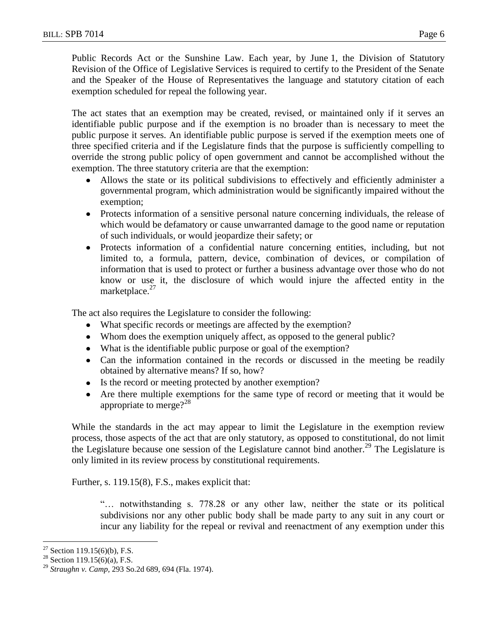Public Records Act or the Sunshine Law. Each year, by June 1, the Division of Statutory Revision of the Office of Legislative Services is required to certify to the President of the Senate and the Speaker of the House of Representatives the language and statutory citation of each exemption scheduled for repeal the following year.

The act states that an exemption may be created, revised, or maintained only if it serves an identifiable public purpose and if the exemption is no broader than is necessary to meet the public purpose it serves. An identifiable public purpose is served if the exemption meets one of three specified criteria and if the Legislature finds that the purpose is sufficiently compelling to override the strong public policy of open government and cannot be accomplished without the exemption. The three statutory criteria are that the exemption:

- Allows the state or its political subdivisions to effectively and efficiently administer a  $\bullet$ governmental program, which administration would be significantly impaired without the exemption;
- Protects information of a sensitive personal nature concerning individuals, the release of which would be defamatory or cause unwarranted damage to the good name or reputation of such individuals, or would jeopardize their safety; or
- Protects information of a confidential nature concerning entities, including, but not limited to, a formula, pattern, device, combination of devices, or compilation of information that is used to protect or further a business advantage over those who do not know or use it, the disclosure of which would injure the affected entity in the marketplace. $27$

The act also requires the Legislature to consider the following:

- What specific records or meetings are affected by the exemption?
- Whom does the exemption uniquely affect, as opposed to the general public?
- What is the identifiable public purpose or goal of the exemption?
- Can the information contained in the records or discussed in the meeting be readily obtained by alternative means? If so, how?
- Is the record or meeting protected by another exemption?
- Are there multiple exemptions for the same type of record or meeting that it would be appropriate to merge? $2^{28}$

While the standards in the act may appear to limit the Legislature in the exemption review process, those aspects of the act that are only statutory, as opposed to constitutional, do not limit the Legislature because one session of the Legislature cannot bind another.<sup>29</sup> The Legislature is only limited in its review process by constitutional requirements.

Further, s. 119.15(8), F.S., makes explicit that:

"… notwithstanding s. 778.28 or any other law, neither the state or its political subdivisions nor any other public body shall be made party to any suit in any court or incur any liability for the repeal or revival and reenactment of any exemption under this

 $\overline{a}$ <sup>27</sup> Section 119.15(6)(b), F.S.

<sup>&</sup>lt;sup>28</sup> Section 119.15(6)(a), F.S.

<sup>29</sup> *Straughn v. Camp,* 293 So.2d 689, 694 (Fla. 1974).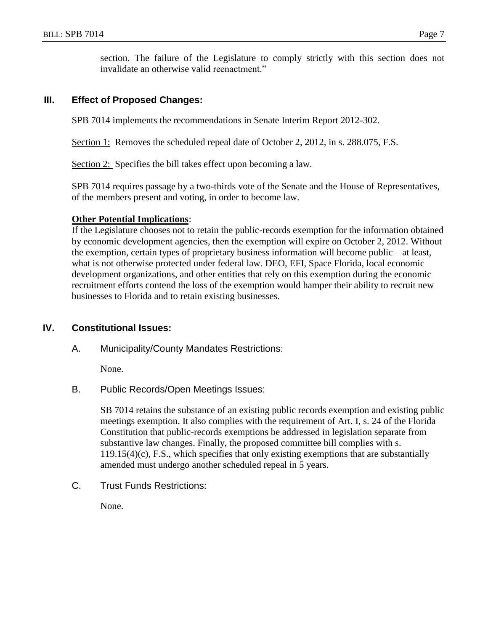section. The failure of the Legislature to comply strictly with this section does not invalidate an otherwise valid reenactment."

## **III. Effect of Proposed Changes:**

SPB 7014 implements the recommendations in Senate Interim Report 2012-302.

Section 1: Removes the scheduled repeal date of October 2, 2012, in s. 288.075, F.S.

Section 2: Specifies the bill takes effect upon becoming a law.

SPB 7014 requires passage by a two-thirds vote of the Senate and the House of Representatives, of the members present and voting, in order to become law.

## **Other Potential Implications**:

If the Legislature chooses not to retain the public-records exemption for the information obtained by economic development agencies, then the exemption will expire on October 2, 2012. Without the exemption, certain types of proprietary business information will become public – at least, what is not otherwise protected under federal law. DEO, EFI, Space Florida, local economic development organizations, and other entities that rely on this exemption during the economic recruitment efforts contend the loss of the exemption would hamper their ability to recruit new businesses to Florida and to retain existing businesses.

# **IV. Constitutional Issues:**

A. Municipality/County Mandates Restrictions:

None.

B. Public Records/Open Meetings Issues:

SB 7014 retains the substance of an existing public records exemption and existing public meetings exemption. It also complies with the requirement of Art. I, s. 24 of the Florida Constitution that public-records exemptions be addressed in legislation separate from substantive law changes. Finally, the proposed committee bill complies with s. 119.15(4)(c), F.S., which specifies that only existing exemptions that are substantially amended must undergo another scheduled repeal in 5 years.

C. Trust Funds Restrictions:

None.